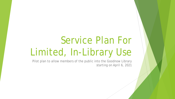# Service Plan For Limited, In-Library Use

Pilot plan to allow members of the public into the Goodnow Library starting on April 6, 2021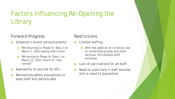# Factors Influencing Re-Opening the **Library**

#### Forward Progress

- Governor's recent announcements
	- MA returning to Phase III, Step 2 on March 1, 2021 easing restrictions
	- MA moving to Phase IV, Step 1 on March 22, 2021 return to "new normal"
- Availability of vaccine for 65+
- Maintaining safety precautions to keep staff and patrons safe

#### **Restrictions**

- Limited staffing
	- With the addition of in-library use to contactless pickup and other services, this doubles staff workload
- Lack of vaccinations for all staff
- Need to scale back if staff become sick or need to quarantine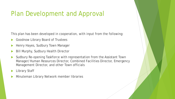### Plan Development and Approval

This plan has been developed in cooperation, with input from the following:

- Goodnow Library Board of Trustees
- Henry Hayes, Sudbury Town Manager
- Bill Murphy, Sudbury Health Director
- Sudbury Re-opening Taskforce with representation from the Assistant Town Manager/Human Resources Director, Combined Facilities Director, Emergency Management Director, and other Town officials
- Library Staff
- Minuteman Library Network member libraries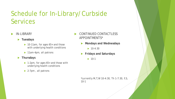### Schedule for In-Library/Curbside Services

- IN-LIBRARY
	- **Tuesdays**
		- ▶ 10-11am, for ages 65+ and those with underlying health conditions
		- ▶ 11am-4pm, all patrons
	- **Thursdays**
		- ▶ 1-2pm, for ages 65+ and those with underlying health conditions
		- ▶ 2-7pm, all patrons
- CONTINUED CONTACTLESS APPOINTMENTS\*
	- **Mondays and Wednesdays**
		- $\blacktriangleright$  10-4:30
	- **Fridays and Saturdays**
		- $\blacktriangleright$  10-1

*\*currently M,T,W 10-4:30, Th 1-7:30, F,S, 10-1*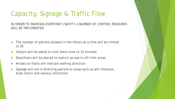# Capacity, Signage & Traffic Flow

IN ORDER TO MAINTAIN EVERYONE'S SAFETY, A NUMBER OF CONTROL MEASURES WILL BE IMPLEMENTED

- The number of patrons allowed in the library at a time will be limited to 25.
- Visitors will be asked to limit there time to 15 minutes
- Stanchions will be placed to restrict access to off-limit areas.
- Arrows on floors will indicate walking direction
- Signage will aid in directing patrons to areas such as self-checkout, book return and various collections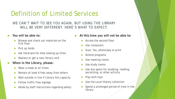#### Definition of Limited Services

WE CAN'T WAIT TO SEE YOU AGAIN, BUT USING THE LIBRARY WILL BE VERY DIFFERENT. HERE'S WHAT TO EXPECT:

- **You will be able to:**
	- Browse and check out materials on the first floor
	- Pick up holds
	- Ask librarians for help looking up titles
	- Replace or get a new library card
- **When in the Library, please:**
	- Wear a mask at all times
	- Remain at least 6 feet away from others
	- Wait outside in line if Library hits capacity
	- Follow traffic flow signage
	- Abide by staff instructions regarding safety
- **At this time you will not be able to:**
	- Access the second floor
	- Use computers
	- Scan, fax, photocopy or print
	- Attend programs
	- Use meeting rooms
	- Use study rooms
	- Use any space for studying, reading, socializing, or other activity
	- Play with toys
	- Use the Local History collection
	- Spend a prolonged period of time in the **library**